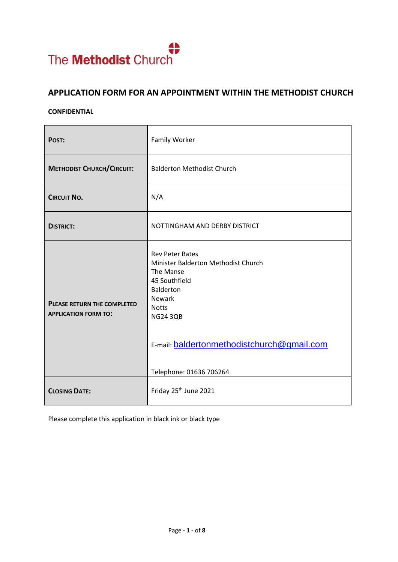

# **APPLICATION FORM FOR AN APPOINTMENT WITHIN THE METHODIST CHURCH**

#### **CONFIDENTIAL**

| POST:                                                             | Family Worker                                                                                                                                                                                                                                |  |
|-------------------------------------------------------------------|----------------------------------------------------------------------------------------------------------------------------------------------------------------------------------------------------------------------------------------------|--|
| <b>METHODIST CHURCH/CIRCUIT:</b>                                  | <b>Balderton Methodist Church</b>                                                                                                                                                                                                            |  |
| <b>CIRCUIT NO.</b>                                                | N/A                                                                                                                                                                                                                                          |  |
| <b>DISTRICT:</b>                                                  | NOTTINGHAM AND DERBY DISTRICT                                                                                                                                                                                                                |  |
| <b>PLEASE RETURN THE COMPLETED</b><br><b>APPLICATION FORM TO:</b> | <b>Rev Peter Bates</b><br>Minister Balderton Methodist Church<br>The Manse<br>45 Southfield<br><b>Balderton</b><br><b>Newark</b><br><b>Notts</b><br><b>NG24 3QB</b><br>E-mail: baldertonmethodistchurch@gmail.com<br>Telephone: 01636 706264 |  |
| <b>CLOSING DATE:</b>                                              | Friday 25 <sup>th</sup> June 2021                                                                                                                                                                                                            |  |

Please complete this application in black ink or black type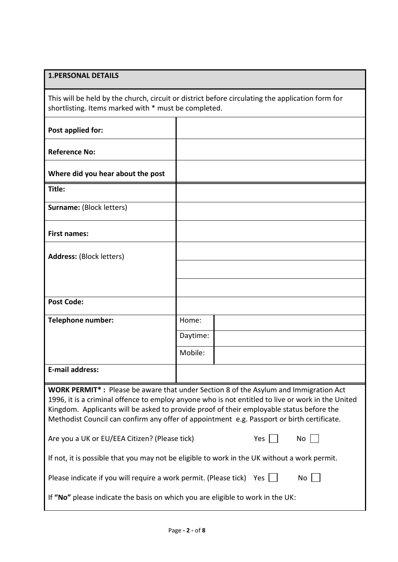## **1.PERSONAL DETAILS**

This will be held by the church, circuit or district before circulating the application form for shortlisting. Items marked with \* must be completed.

| Post applied for:                                                                                                                                                                                                                                                                                                                                                                   |          |    |  |  |
|-------------------------------------------------------------------------------------------------------------------------------------------------------------------------------------------------------------------------------------------------------------------------------------------------------------------------------------------------------------------------------------|----------|----|--|--|
| <b>Reference No:</b>                                                                                                                                                                                                                                                                                                                                                                |          |    |  |  |
| Where did you hear about the post                                                                                                                                                                                                                                                                                                                                                   |          |    |  |  |
| Title:                                                                                                                                                                                                                                                                                                                                                                              |          |    |  |  |
| <b>Surname: (Block letters)</b>                                                                                                                                                                                                                                                                                                                                                     |          |    |  |  |
| <b>First names:</b>                                                                                                                                                                                                                                                                                                                                                                 |          |    |  |  |
| <b>Address: (Block letters)</b>                                                                                                                                                                                                                                                                                                                                                     |          |    |  |  |
|                                                                                                                                                                                                                                                                                                                                                                                     |          |    |  |  |
|                                                                                                                                                                                                                                                                                                                                                                                     |          |    |  |  |
| <b>Post Code:</b>                                                                                                                                                                                                                                                                                                                                                                   |          |    |  |  |
| <b>Telephone number:</b>                                                                                                                                                                                                                                                                                                                                                            | Home:    |    |  |  |
|                                                                                                                                                                                                                                                                                                                                                                                     | Daytime: |    |  |  |
|                                                                                                                                                                                                                                                                                                                                                                                     | Mobile:  |    |  |  |
| <b>E-mail address:</b>                                                                                                                                                                                                                                                                                                                                                              |          |    |  |  |
| WORK PERMIT*: Please be aware that under Section 8 of the Asylum and Immigration Act<br>1996, it is a criminal offence to employ anyone who is not entitled to live or work in the United<br>Kingdom. Applicants will be asked to provide proof of their employable status before the<br>Methodist Council can confirm any offer of appointment e.g. Passport or birth certificate. |          |    |  |  |
| Yes<br>Are you a UK or EU/EEA Citizen? (Please tick)                                                                                                                                                                                                                                                                                                                                |          | No |  |  |
| If not, it is possible that you may not be eligible to work in the UK without a work permit.                                                                                                                                                                                                                                                                                        |          |    |  |  |
| Please indicate if you will require a work permit. (Please tick)<br>No<br>Yes                                                                                                                                                                                                                                                                                                       |          |    |  |  |
| If "No" please indicate the basis on which you are eligible to work in the UK:                                                                                                                                                                                                                                                                                                      |          |    |  |  |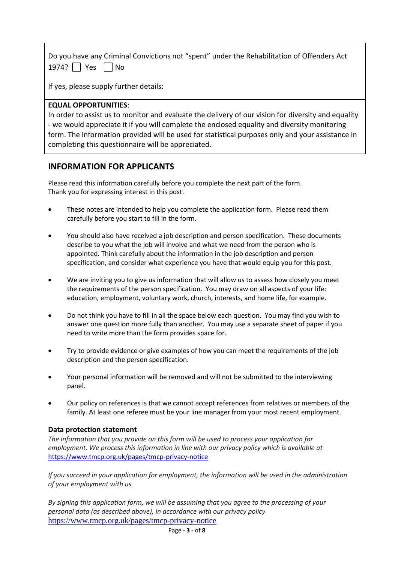| Do you have any Criminal Convictions not "spent" under the Rehabilitation of Offenders Act |  |
|--------------------------------------------------------------------------------------------|--|
| 1974? $\Box$ Yes $\Box$ No                                                                 |  |

If yes, please supply further details:

### **EQUAL OPPORTUNITIES**:

In order to assist us to monitor and evaluate the delivery of our vision for diversity and equality - we would appreciate it if you will complete the enclosed equality and diversity monitoring form. The information provided will be used for statistical purposes only and your assistance in completing this questionnaire will be appreciated.

### **INFORMATION FOR APPLICANTS**

Please read this information carefully before you complete the next part of the form. Thank you for expressing interest in this post.

- These notes are intended to help you complete the application form. Please read them carefully before you start to fill in the form.
- You should also have received a job description and person specification. These documents describe to you what the job will involve and what we need from the person who is appointed. Think carefully about the information in the job description and person specification, and consider what experience you have that would equip you for this post.
- We are inviting you to give us information that will allow us to assess how closely you meet the requirements of the person specification. You may draw on all aspects of your life: education, employment, voluntary work, church, interests, and home life, for example.
- Do not think you have to fill in all the space below each question. You may find you wish to answer one question more fully than another. You may use a separate sheet of paper if you need to write more than the form provides space for.
- Try to provide evidence or give examples of how you can meet the requirements of the job description and the person specification.
- Your personal information will be removed and will not be submitted to the interviewing panel.
- Our policy on references is that we cannot accept references from relatives or members of the family. At least one referee must be your line manager from your most recent employment.

### **Data protection statement**

*The information that you provide on this form will be used to process your application for employment. We process this information in line with our privacy policy which is available at* <https://www.tmcp.org.uk/pages/tmcp-privacy-notice>

*If you succeed in your application for employment, the information will be used in the administration of your employment with us.* 

*By signing this application form, we will be assuming that you agree to the processing of your personal data (as described above), in accordance with our privacy policy* <https://www.tmcp.org.uk/pages/tmcp-privacy-notice>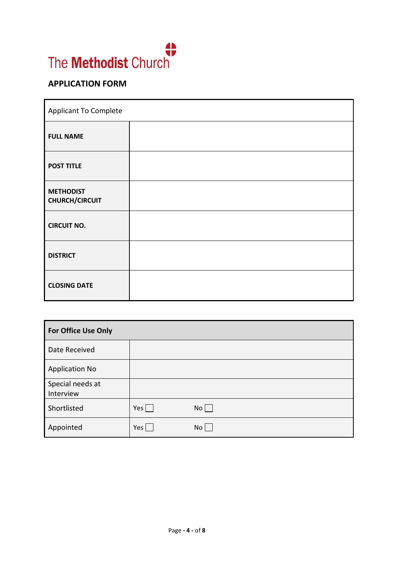

# **APPLICATION FORM**

| <b>Applicant To Complete</b>              |  |  |
|-------------------------------------------|--|--|
| <b>FULL NAME</b>                          |  |  |
| <b>POST TITLE</b>                         |  |  |
| <b>METHODIST</b><br><b>CHURCH/CIRCUIT</b> |  |  |
| <b>CIRCUIT NO.</b>                        |  |  |
| <b>DISTRICT</b>                           |  |  |
| <b>CLOSING DATE</b>                       |  |  |

| <b>For Office Use Only</b>    |                 |      |
|-------------------------------|-----------------|------|
| Date Received                 |                 |      |
| <b>Application No</b>         |                 |      |
| Special needs at<br>Interview |                 |      |
| Shortlisted                   | $Yes \mid \mid$ | $No$ |
| Appointed                     | Yes             | No   |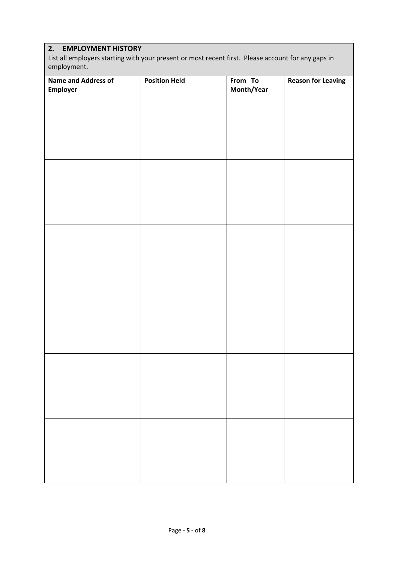## **2. EMPLOYMENT HISTORY**

List all employers starting with your present or most recent first. Please account for any gaps in employment.

| Name and Address of<br>Employer | <b>Position Held</b> | From To<br>Month/Year | <b>Reason for Leaving</b> |
|---------------------------------|----------------------|-----------------------|---------------------------|
|                                 |                      |                       |                           |
|                                 |                      |                       |                           |
|                                 |                      |                       |                           |
|                                 |                      |                       |                           |
|                                 |                      |                       |                           |
|                                 |                      |                       |                           |
|                                 |                      |                       |                           |
|                                 |                      |                       |                           |
|                                 |                      |                       |                           |
|                                 |                      |                       |                           |
|                                 |                      |                       |                           |
|                                 |                      |                       |                           |
|                                 |                      |                       |                           |
|                                 |                      |                       |                           |
|                                 |                      |                       |                           |
|                                 |                      |                       |                           |
|                                 |                      |                       |                           |
|                                 |                      |                       |                           |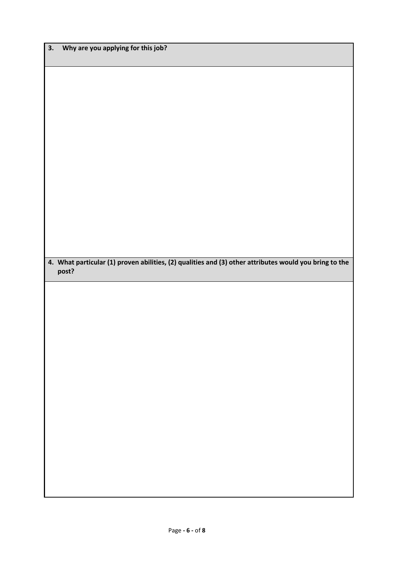|       |  | 4. What particular (1) proven abilities, (2) qualities and (3) other attributes would you bring to the |  |
|-------|--|--------------------------------------------------------------------------------------------------------|--|
| post? |  |                                                                                                        |  |
|       |  |                                                                                                        |  |
|       |  |                                                                                                        |  |
|       |  |                                                                                                        |  |
|       |  |                                                                                                        |  |
|       |  |                                                                                                        |  |
|       |  |                                                                                                        |  |
|       |  |                                                                                                        |  |
|       |  |                                                                                                        |  |
|       |  |                                                                                                        |  |
|       |  |                                                                                                        |  |
|       |  |                                                                                                        |  |
|       |  |                                                                                                        |  |
|       |  |                                                                                                        |  |
|       |  |                                                                                                        |  |
|       |  |                                                                                                        |  |
|       |  |                                                                                                        |  |
|       |  |                                                                                                        |  |
|       |  |                                                                                                        |  |
|       |  |                                                                                                        |  |
|       |  |                                                                                                        |  |
|       |  |                                                                                                        |  |
|       |  |                                                                                                        |  |
|       |  |                                                                                                        |  |
|       |  |                                                                                                        |  |
|       |  |                                                                                                        |  |
|       |  |                                                                                                        |  |
|       |  |                                                                                                        |  |
|       |  |                                                                                                        |  |
|       |  |                                                                                                        |  |
|       |  |                                                                                                        |  |
|       |  |                                                                                                        |  |
|       |  |                                                                                                        |  |
|       |  |                                                                                                        |  |
|       |  |                                                                                                        |  |
|       |  |                                                                                                        |  |
|       |  |                                                                                                        |  |
|       |  |                                                                                                        |  |

**3. Why are you applying for this job?**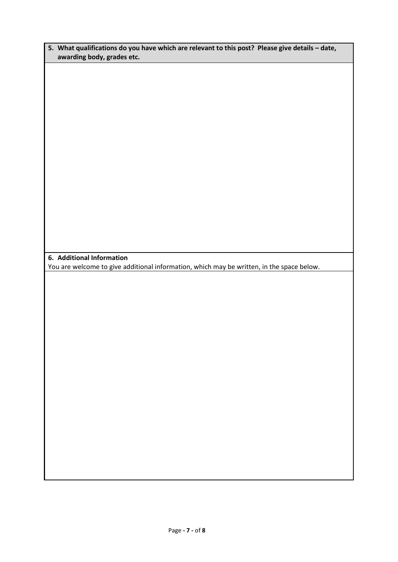| 5. What qualifications do you have which are relevant to this post? Please give details – date, |  |
|-------------------------------------------------------------------------------------------------|--|
| awarding body, grades etc.                                                                      |  |

**6. Additional Information**

You are welcome to give additional information, which may be written, in the space below.